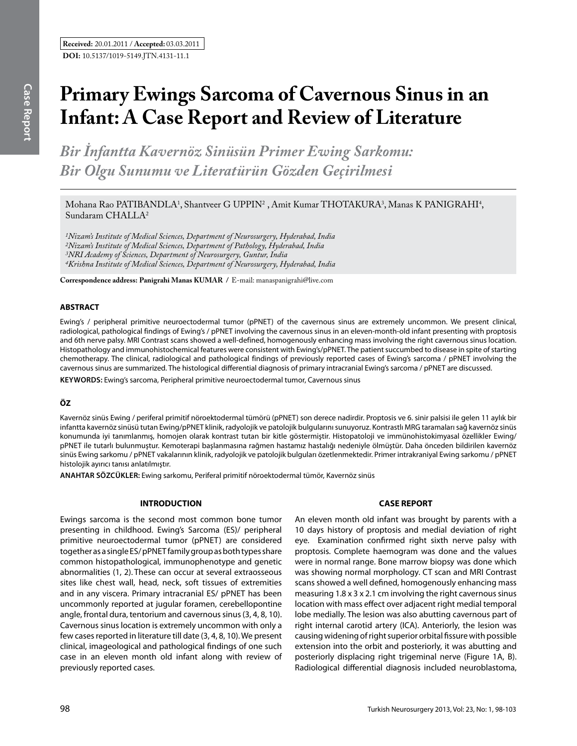# **Primary Ewings Sarcoma of Cavernous Sinus in an Infant: A Case Report and Review of Literature**

*Bir İnfantta Kavernöz Sinüsün Primer Ewing Sarkomu: Bir Olgu Sunumu ve Literatürün Gözden Geçirilmesi* 

Mohana Rao PATIBANDLA<sup>1</sup>, Shantveer G UPPIN<sup>2</sup> , Amit Kumar THOTAKURA<sup>3</sup>, Manas K PANIGRAHI<sup>4</sup>, Sundaram CHALLA<sup>2</sup>

*1Nizam's Institute of Medical Sciences, Department of Neurosurgery, Hyderabad, India 2Nizam's Institute of Medical Sciences, Department of Pathology, Hyderabad, India 3NRI Academy of Sciences, Department of Neurosurgery, Guntur, India 4Krishna Institute of Medical Sciences, Department of Neurosurgery, Hyderabad, India*

**Correspondence address: Panigrahi Manas Kumar /** E-mail: manaspanigrahi@live.com

#### **ABSTRACT**

Ewing's / peripheral primitive neuroectodermal tumor (pPNET) of the cavernous sinus are extremely uncommon. We present clinical, radiological, pathological findings of Ewing's / pPNET involving the cavernous sinus in an eleven-month-old infant presenting with proptosis and 6th nerve palsy. MRI Contrast scans showed a well-defined, homogenously enhancing mass involving the right cavernous sinus location. Histopathology and immunohistochemical features were consistent with Ewing's/pPNET. The patient succumbed to disease in spite of starting chemotherapy. The clinical, radiological and pathological findings of previously reported cases of Ewing's sarcoma / pPNET involving the cavernous sinus are summarized. The histological differential diagnosis of primary intracranial Ewing's sarcoma / pPNET are discussed.

**Keywords:** Ewing's sarcoma, Peripheral primitive neuroectodermal tumor, Cavernous sinus

# **ÖZ**

Kavernöz sinüs Ewing / periferal primitif nöroektodermal tümörü (pPNET) son derece nadirdir. Proptosis ve 6. sinir palsisi ile gelen 11 aylık bir infantta kavernöz sinüsü tutan Ewing/pPNET klinik, radyolojik ve patolojik bulgularını sunuyoruz. Kontrastlı MRG taramaları sağ kavernöz sinüs konumunda iyi tanımlanmış, homojen olarak kontrast tutan bir kitle göstermiştir. Histopatoloji ve immünohistokimyasal özellikler Ewing/ pPNET ile tutarlı bulunmuştur. Kemoterapi başlanmasına rağmen hastamız hastalığı nedeniyle ölmüştür. Daha önceden bildirilen kavernöz sinüs Ewing sarkomu / pPNET vakalarının klinik, radyolojik ve patolojik bulguları özetlenmektedir. Primer intrakraniyal Ewing sarkomu / pPNET histolojik ayırıcı tanısı anlatılmıştır.

**ANAHTAR SÖZCÜKLER:** Ewing sarkomu, Periferal primitif nöroektodermal tümör, Kavernöz sinüs

### **INTRODUCTION**

Ewings sarcoma is the second most common bone tumor presenting in childhood. Ewing's Sarcoma (ES)/ peripheral primitive neuroectodermal tumor (pPNET) are considered together as a single ES/ pPNET family group as both types share common histopathological, immunophenotype and genetic abnormalities (1, 2). These can occur at several extraosseous sites like chest wall, head, neck, soft tissues of extremities and in any viscera. Primary intracranial ES/ pPNET has been uncommonly reported at jugular foramen, cerebellopontine angle, frontal dura, tentorium and cavernous sinus (3, 4, 8, 10). Cavernous sinus location is extremely uncommon with only a few cases reported in literature till date (3, 4, 8, 10). We present clinical, imageological and pathological findings of one such case in an eleven month old infant along with review of previously reported cases.

#### **CASE REPORT**

An eleven month old infant was brought by parents with a 10 days history of proptosis and medial deviation of right eye. Examination confirmed right sixth nerve palsy with proptosis. Complete haemogram was done and the values were in normal range. Bone marrow biopsy was done which was showing normal morphology. CT scan and MRI Contrast scans showed a well defined, homogenously enhancing mass measuring 1.8 x 3 x 2.1 cm involving the right cavernous sinus location with mass effect over adjacent right medial temporal lobe medially. The lesion was also abutting cavernous part of right internal carotid artery (ICA). Anteriorly, the lesion was causing widening of right superior orbital fissure with possible extension into the orbit and posteriorly, it was abutting and posteriorly displacing right trigeminal nerve (Figure 1A, B). Radiological differential diagnosis included neuroblastoma,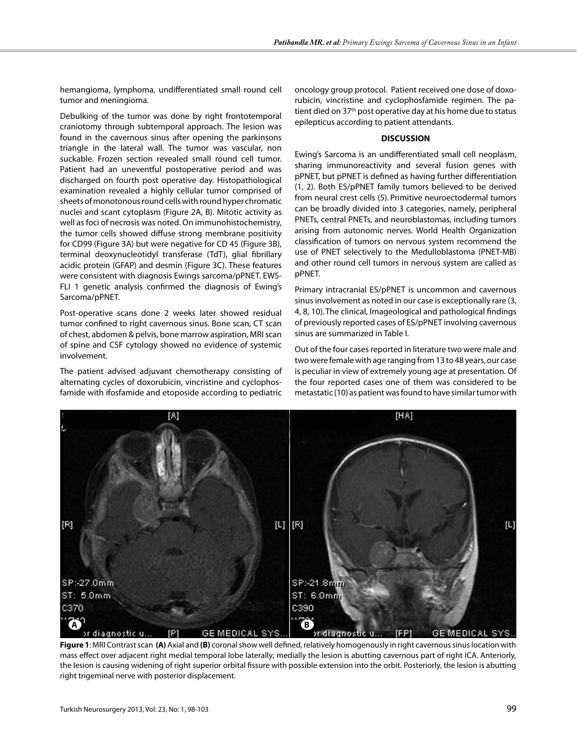hemangioma, lymphoma, undifferentiated small round cell tumor and meningioma.

Debulking of the tumor was done by right frontotemporal craniotomy through subtemporal approach. The lesion was found in the cavernous sinus after opening the parkinsons triangle in the lateral wall. The tumor was vascular, non suckable. Frozen section revealed small round cell tumor. Patient had an uneventful postoperative period and was discharged on fourth post operative day. Histopathological examination revealed a highly cellular tumor comprised of sheets of monotonous round cells with round hyper chromatic nuclei and scant cytoplasm (Figure 2A, B). Mitotic activity as well as foci of necrosis was noted. On immunohistochemistry, the tumor cells showed diffuse strong membrane positivity for CD99 (Figure 3A) but were negative for CD 45 (Figure 3B), terminal deoxynucleotidyl transferase (TdT), glial fibrillary acidic protein (GFAP) and desmin (Figure 3C). These features were consistent with diagnosis Ewings sarcoma/pPNET. EWS-FLI 1 genetic analysis confirmed the diagnosis of Ewing's Sarcoma/pPNET.

Post-operative scans done 2 weeks later showed residual tumor confined to right cavernous sinus. Bone scan, CT scan of chest, abdomen & pelvis, bone marrow aspiration, MRI scan of spine and CSF cytology showed no evidence of systemic involvement.

The patient advised adjuvant chemotherapy consisting of alternating cycles of doxorubicin, vincristine and cyclophosfamide with ifosfamide and etoposide according to pediatric oncology group protocol. Patient received one dose of doxorubicin, vincristine and cyclophosfamide regimen. The patient died on 37<sup>th</sup> post operative day at his home due to status epilepticus according to patient attendants.

## **DISCUSSION**

Ewing's Sarcoma is an undifferentiated small cell neoplasm, sharing immunoreactivity and several fusion genes with pPNET, but pPNET is defined as having further differentiation (1, 2). Both ES/pPNET family tumors believed to be derived from neural crest cells (5). Primitive neuroectodermal tumors can be broadly divided into 3 categories, namely, peripheral PNETs, central PNETs, and neuroblastomas, including tumors arising from autonomic nerves. World Health Organization classification of tumors on nervous system recommend the use of PNET selectively to the Medulloblastoma (PNET-MB) and other round cell tumors in nervous system are called as pPNET.

Primary intracranial ES/pPNET is uncommon and cavernous sinus involvement as noted in our case is exceptionally rare (3, 4, 8, 10).The clinical, Imageological and pathological findings of previously reported cases of ES/pPNET involving cavernous sinus are summarized in Table I.

Out of the four cases reported in literature two were male and two were female with age ranging from 13 to 48 years, our case is peculiar in view of extremely young age at presentation. Of the four reported cases one of them was considered to be metastatic (10) as patient was found to have similar tumor with



**Figure 1**: MRI Contrast scan **(A)** Axial and **(B)** coronal show well defined, relatively homogenously in right cavernous sinus location with mass effect over adjacent right medial temporal lobe laterally; medially the lesion is abutting cavernous part of right ICA. Anteriorly, the lesion is causing widening of right superior orbital fissure with possible extension into the orbit. Posteriorly, the lesion is abutting right trigeminal nerve with posterior displacement.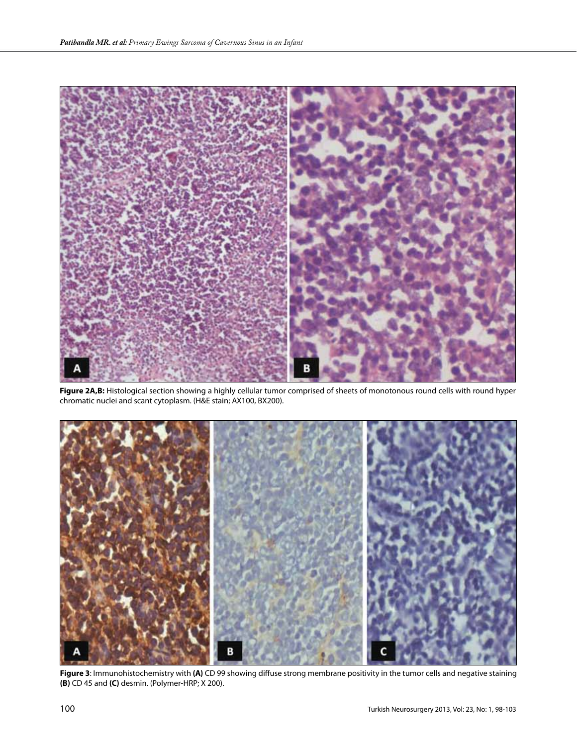

**Figure 2A,B:** Histological section showing a highly cellular tumor comprised of sheets of monotonous round cells with round hyper chromatic nuclei and scant cytoplasm. (H&E stain; AX100, BX200).



**Figure 3**: Immunohistochemistry with **(A)** CD 99 showing diffuse strong membrane positivity in the tumor cells and negative staining **(B)** CD 45 and **(C)** desmin. (Polymer-HRP; X 200).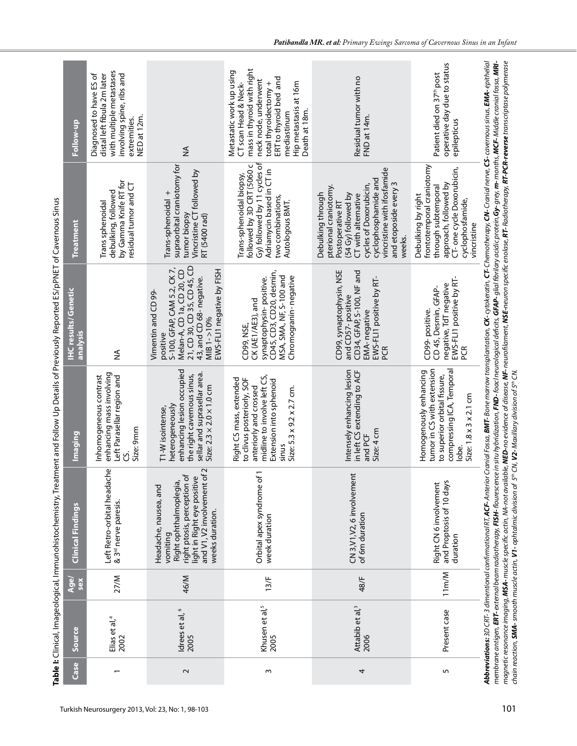|        |                                     |                    |                                                                                                                                                                                                    |                                                                                                                                                                                 | Table I: Clinical, Imageological, Immunohistochemistry, Treatment and Follow Up Details of Previously Reported ES/pPNET of Cavernous Sinus                                                                                                                                                                                                                                                                                                                                                                                                                                                                                                                                                                               |                                                                                                                                                                                                                                 |                                                                                                                                                                                                                    |
|--------|-------------------------------------|--------------------|----------------------------------------------------------------------------------------------------------------------------------------------------------------------------------------------------|---------------------------------------------------------------------------------------------------------------------------------------------------------------------------------|--------------------------------------------------------------------------------------------------------------------------------------------------------------------------------------------------------------------------------------------------------------------------------------------------------------------------------------------------------------------------------------------------------------------------------------------------------------------------------------------------------------------------------------------------------------------------------------------------------------------------------------------------------------------------------------------------------------------------|---------------------------------------------------------------------------------------------------------------------------------------------------------------------------------------------------------------------------------|--------------------------------------------------------------------------------------------------------------------------------------------------------------------------------------------------------------------|
| Case   | Source                              | <b>Age</b><br>sex  | Clinical Findings                                                                                                                                                                                  | lmaging                                                                                                                                                                         | <b>IHC results/ Genetic</b><br>analysis                                                                                                                                                                                                                                                                                                                                                                                                                                                                                                                                                                                                                                                                                  | <b>Treatment</b>                                                                                                                                                                                                                | Follow-up                                                                                                                                                                                                          |
|        | Elias et al, <sup>4</sup><br>2002   | 27/M               | Left Retro-orbital headache<br>& 3 <sup>rd</sup> nerve paresis.                                                                                                                                    | enhancing mass involving<br>Left Parasellar region and<br>Inhomogeneous contrast<br>Size: 9mm<br>୰                                                                              | ≨                                                                                                                                                                                                                                                                                                                                                                                                                                                                                                                                                                                                                                                                                                                        | by Gamma Knife RT for<br>residual tumor and CT<br>debulking, followed<br>Trans sphenoidal                                                                                                                                       | with multiple metastases<br>Diagnosed to have ES of<br>distal left fibula 2m later<br>involving spine, ribs and<br>NED at 12m.<br>extremities.                                                                     |
| $\sim$ | Idrees et al, 6<br>2005             | 46/M               | and V1, V2 involvement of<br>right ptosis, perception of<br>light in Right eye positive<br>Right ophthalmoplegia,<br>Headache, nausea, and<br>weeks duration.<br>vomiting                          | enhancing lesion occupied<br>sellar and suprasellar area<br>the right cavernous sinus,<br>Size: $2.3 \times 2.0 \times 1.0$ cm<br>heterogeneously<br>T1-W isointense,           | 21, CD 30, CD 35, CD 45, CD<br>S-100, GFAP, CAM 5.2, CK 7,<br>Melan-A, CD 1a, CD 20, CD<br>EWS-FLI1 negative by FISH<br>43, and CD 68- negative.<br>Vimentin and CD 99-<br>MIB 1->10%<br>positive                                                                                                                                                                                                                                                                                                                                                                                                                                                                                                                        | supraorbital craniotomy for<br>Vincristine CT followed by<br>Trans-sphenoidal +<br>tumor biopsy<br>RT (5400 rad)                                                                                                                | $\frac{1}{2}$                                                                                                                                                                                                      |
| m      | Khusen et al, <sup>5</sup><br>2005  | 13/F               | Orbital apex syndrome of 1<br>week duration                                                                                                                                                        | midline to involve left CS,<br>Right CS mass, extended<br>to clivus posteriorly, SOF<br>Extension into sphenoid<br>anteriorly and crossed<br>Size: 5.3 x 9.2 x 2.7 cm.<br>sinus | CD45, CD3, CD20, desmin,<br>Chromogranin-negative<br>MSA, SMA, NF, S-100 and<br>synaptophysin-positive.<br>CK (AE1/AE3), and<br>CD99, NSE,                                                                                                                                                                                                                                                                                                                                                                                                                                                                                                                                                                               | Gy) followed by 11 cycles of<br>followed by 3D CRT (5060 c<br>Adriamycin based in CT in<br>Trans-sphenoidal biopsy,<br>two combinations,<br>Autologous BMT.                                                                     | mass in thyroid with right<br>Metastatic work up using<br>ERT to thyroid bed and<br>neck node, underwent<br>Hip metastasis at 16m<br>CT scan Head & Neck-<br>total thyroidectomy +<br>Death at 18m.<br>mediastinum |
| 4      | Attabib et al, <sup>3</sup><br>2006 | 48/F               | CN 3, V1, V2, 6 involvement<br>of 6m duration                                                                                                                                                      | Intensely enhancing lesion<br>in left CS extending to ACF<br>Size: 4 cm<br>and PCF                                                                                              | CD99, synaptophysin, NSE<br>CD34, GFAP, S-100, NF and<br>EWS-FLI1 positive by RT-<br>and CD57-positive<br>EMA-negative<br>PCR                                                                                                                                                                                                                                                                                                                                                                                                                                                                                                                                                                                            | vincristine with ifosfamide<br>cyclophosphamide and<br>and etoposide every 3<br>cycles of Doxorubicin,<br>pterional craniotomy.<br>Debulking through<br>(54 Gy) followed by<br>CT with alternative<br>Postoperative R7<br>weeks | Residual tumor with no<br>FND at 14m.                                                                                                                                                                              |
| S      | Present case                        | 11 <sub>m</sub> /M | and Proptosis of 10 days<br>Right CN 6 involvement<br>duration                                                                                                                                     | tumor in CS with extension<br>compressing ICA, Temporal<br>Homogenously enhancing<br>to superior orbital fissure,<br>Size: $1.8 \times 3 \times 2.1$ cm<br>lobe.                | EWS-FLI1 positive by RT-<br>negative, TdT negative<br>CD 45, Desmin, GFAP<br>CD99-positive.<br>PCR                                                                                                                                                                                                                                                                                                                                                                                                                                                                                                                                                                                                                       | frontotemporal craniotomy<br>CT- one cycle Doxorubicin,<br>approach, followed by<br>through subtemporal<br>Debulking by right<br>cyclophosfamide,<br>vincristine                                                                | operative day due to status<br>Patient died on 37 <sup>th</sup> post<br>epilepticus                                                                                                                                |
|        |                                     |                    | chain reaction, SMA-smooth muscle actin, V1-ophtalmic division of 5th CN, V2-Maxillary division of 5th CN.<br><b>Abbreviations:</b> 3D CRT-3 dimentional confirmational RT, <b>ACF-</b> Anterior C |                                                                                                                                                                                 | ranial Fossa, <b>BMT- B</b> one marrow transplantation, <b>CK</b> -cytokeratin, <b>CT</b> -Chemotherapy, <b>CN</b> -Cranial nerve, <b>CS</b> -cavernous sinus, <b>EMA</b> -epithelial<br>magnetic resonance imaging, <b>MSA-</b> muscle specific actin, WA-not available, <b>NED-</b> no evidence of disease, <b>NF-</b> neurofiament, <b>NSE-</b> neuron specific enolase, <b>RT-</b> Radiotherapy, <b>RT-PCR-reverse</b> transcriptase polymerase<br>membrane antigen, <b>ERT-</b> external beam radiotherapy, <b>FISH-</b> flourescence in situ hybridization, <b>FND-</b> foacl neurological deficits, <b>GFAP-</b> glial fibrilary acidic protein, <b>Gy-</b> grey, <b>m-</b> months, <b>MCF-</b> Middle cranial fo |                                                                                                                                                                                                                                 |                                                                                                                                                                                                                    |

Turkish Neurosurgery 2013, Vol: 23, No: 1, 98-103 101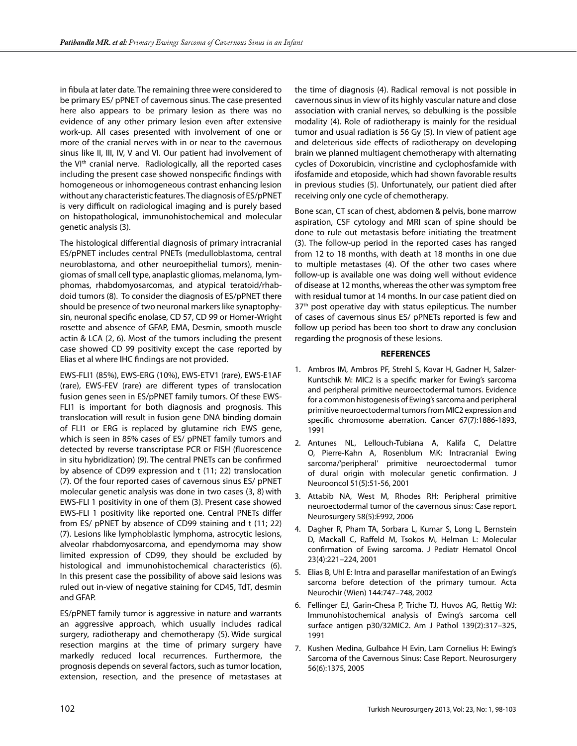in fibula at later date. The remaining three were considered to be primary ES/ pPNET of cavernous sinus. The case presented here also appears to be primary lesion as there was no evidence of any other primary lesion even after extensive work-up. All cases presented with involvement of one or more of the cranial nerves with in or near to the cavernous sinus like II, III, IV, V and VI. Our patient had involvement of the VI<sup>th</sup> cranial nerve. Radiologically, all the reported cases including the present case showed nonspecific findings with homogeneous or inhomogeneous contrast enhancing lesion without any characteristic features. The diagnosis of ES/pPNET is very difficult on radiological imaging and is purely based on histopathological, immunohistochemical and molecular genetic analysis (3).

The histological differential diagnosis of primary intracranial ES/pPNET includes central PNETs (medulloblastoma, central neuroblastoma, and other neuroepithelial tumors), meningiomas of small cell type, anaplastic gliomas, melanoma, lymphomas, rhabdomyosarcomas, and atypical teratoid/rhabdoid tumors (8). To consider the diagnosis of ES/pPNET there should be presence of two neuronal markers like synaptophysin, neuronal specific enolase, CD 57, CD 99 or Homer-Wright rosette and absence of GFAP, EMA, Desmin, smooth muscle actin & LCA (2, 6). Most of the tumors including the present case showed CD 99 positivity except the case reported by Elias et al where IHC findings are not provided.

EWS-FLI1 (85%), EWS-ERG (10%), EWS-ETV1 (rare), EWS-E1AF (rare), EWS-FEV (rare) are different types of translocation fusion genes seen in ES/pPNET family tumors. Of these EWS-FLI1 is important for both diagnosis and prognosis. This translocation will result in fusion gene DNA binding domain of FLI1 or ERG is replaced by glutamine rich EWS gene, which is seen in 85% cases of ES/ pPNET family tumors and detected by reverse transcriptase PCR or FISH (fluorescence in situ hybridization) (9). The central PNETs can be confirmed by absence of CD99 expression and t (11; 22) translocation (7). Of the four reported cases of cavernous sinus ES/ pPNET molecular genetic analysis was done in two cases (3, 8) with EWS-FLI 1 positivity in one of them (3). Present case showed EWS-FLI 1 positivity like reported one. Central PNETs differ from ES/ pPNET by absence of CD99 staining and t (11; 22) (7). Lesions like lymphoblastic lymphoma, astrocytic lesions, alveolar rhabdomyosarcoma, and ependymoma may show limited expression of CD99, they should be excluded by histological and immunohistochemical characteristics (6). In this present case the possibility of above said lesions was ruled out in-view of negative staining for CD45, TdT, desmin and GFAP.

ES/pPNET family tumor is aggressive in nature and warrants an aggressive approach, which usually includes radical surgery, radiotherapy and chemotherapy (5). Wide surgical resection margins at the time of primary surgery have markedly reduced local recurrences. Furthermore, the prognosis depends on several factors, such as tumor location, extension, resection, and the presence of metastases at

the time of diagnosis (4). Radical removal is not possible in cavernous sinus in view of its highly vascular nature and close association with cranial nerves, so debulking is the possible modality (4). Role of radiotherapy is mainly for the residual tumor and usual radiation is 56 Gy (5). In view of patient age and deleterious side effects of radiotherapy on developing brain we planned multiagent chemotherapy with alternating cycles of Doxorubicin, vincristine and cyclophosfamide with ifosfamide and etoposide, which had shown favorable results in previous studies (5). Unfortunately, our patient died after receiving only one cycle of chemotherapy.

Bone scan, CT scan of chest, abdomen & pelvis, bone marrow aspiration, CSF cytology and MRI scan of spine should be done to rule out metastasis before initiating the treatment (3). The follow-up period in the reported cases has ranged from 12 to 18 months, with death at 18 months in one due to multiple metastases (4). Of the other two cases where follow-up is available one was doing well without evidence of disease at 12 months, whereas the other was symptom free with residual tumor at 14 months. In our case patient died on 37<sup>th</sup> post operative day with status epilepticus. The number of cases of cavernous sinus ES/ pPNETs reported is few and follow up period has been too short to draw any conclusion regarding the prognosis of these lesions.

# **REFERENCES**

- 1. Ambros IM, Ambros PF, Strehl S, Kovar H, Gadner H, Salzer-Kuntschik M: MIC2 is a specific marker for Ewing's sarcoma and peripheral primitive neuroectodermal tumors. Evidence for a common histogenesis of Ewing's sarcoma and peripheral primitive neuroectodermal tumors from MIC2 expression and specific chromosome aberration. Cancer 67(7):1886-1893, 1991
- 2. Antunes NL, Lellouch-Tubiana A, Kalifa C, Delattre O, Pierre-Kahn A, Rosenblum MK: Intracranial Ewing sarcoma/'peripheral' primitive neuroectodermal tumor of dural origin with molecular genetic confirmation. J Neurooncol 51(5):51-56, 2001
- 3. Attabib NA, West M, Rhodes RH: Peripheral primitive neuroectodermal tumor of the cavernous sinus: Case report. Neurosurgery 58(5):E992, 2006
- 4. Dagher R, Pham TA, Sorbara L, Kumar S, Long L, Bernstein D, Mackall C, Raffeld M, Tsokos M, Helman L: Molecular confirmation of Ewing sarcoma. J Pediatr Hematol Oncol 23(4):221–224, 2001
- 5. Elias B, Uhl E: Intra and parasellar manifestation of an Ewing's sarcoma before detection of the primary tumour. Acta Neurochir (Wien) 144:747–748, 2002
- 6. Fellinger EJ, Garin-Chesa P, Triche TJ, Huvos AG, Rettig WJ: Immunohistochemical analysis of Ewing's sarcoma cell surface antigen p30/32MIC2. Am J Pathol 139(2):317–325, 1991
- 7. Kushen Medina, Gulbahce H Evin, Lam Cornelius H: Ewing's Sarcoma of the Cavernous Sinus: Case Report. Neurosurgery 56(6):1375, 2005